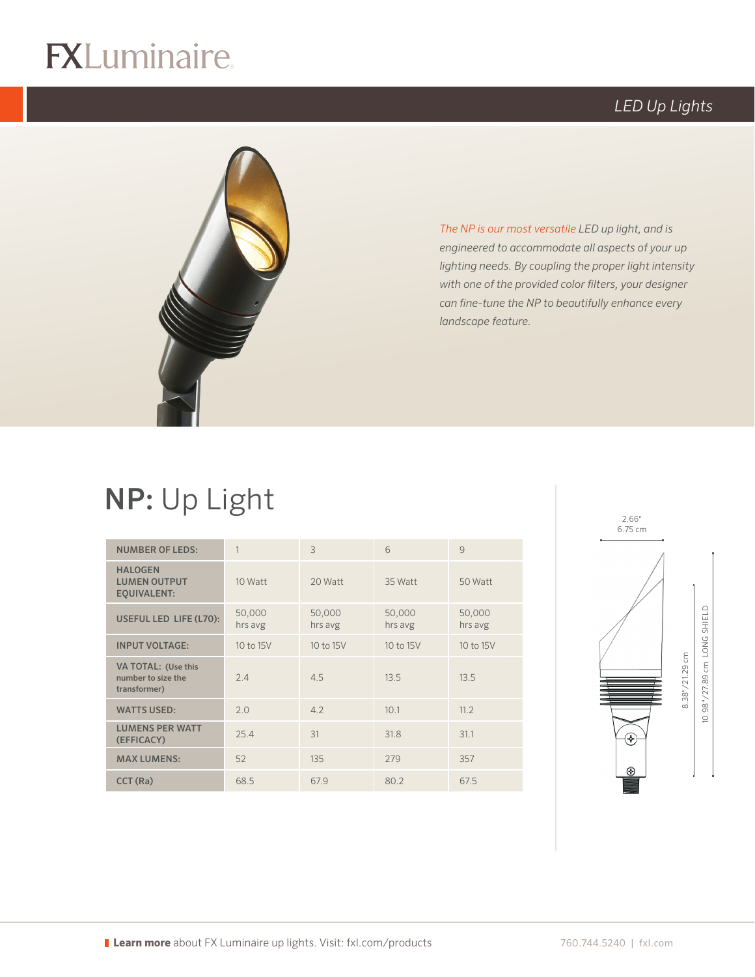# $\circledR$

## *LED Up Lights*



*The NP is our most versatile LED up light, and is engineered to accommodate all aspects of your up lighting needs. By coupling the proper light intensity with one of the provided color filters, your designer can fine-tune the NP to beautifully enhance every landscape feature.*

# NP: Up Light

| <b>NUMBER OF LEDS:</b>                                      | 1                 | 3                 | 6                 | 9                 |
|-------------------------------------------------------------|-------------------|-------------------|-------------------|-------------------|
| <b>HALOGEN</b><br><b>LUMEN OUTPUT</b><br><b>EQUIVALENT:</b> | 10 Watt           | 20 Watt           | 35 Watt           | 50 Watt           |
| USEFUL LED LIFE (L70):                                      | 50,000<br>hrs avg | 50,000<br>hrs avg | 50,000<br>hrs avg | 50,000<br>hrs avg |
| <b>INPUT VOLTAGE:</b>                                       | 10 to 15V         | 10 to 15V         | 10 to 15V         | 10 to 15V         |
| VA TOTAL: (Use this<br>number to size the<br>transformer)   | 2.4               | 4.5               | 13.5              | 13.5              |
| <b>WATTS USED:</b>                                          | 2.0               | 4.2               | 10.1              | 11.2              |
| <b>LUMENS PER WATT</b><br>(EFFICACY)                        | 25.4              | 31                | 31.8              | 31.1              |
| <b>MAX LUMENS:</b>                                          | 52                | 135               | 279               | 357               |
| CCT (Ra)                                                    | 68.5              | 67.9              | 80.2              | 67.5              |

logo (2-color PMS)